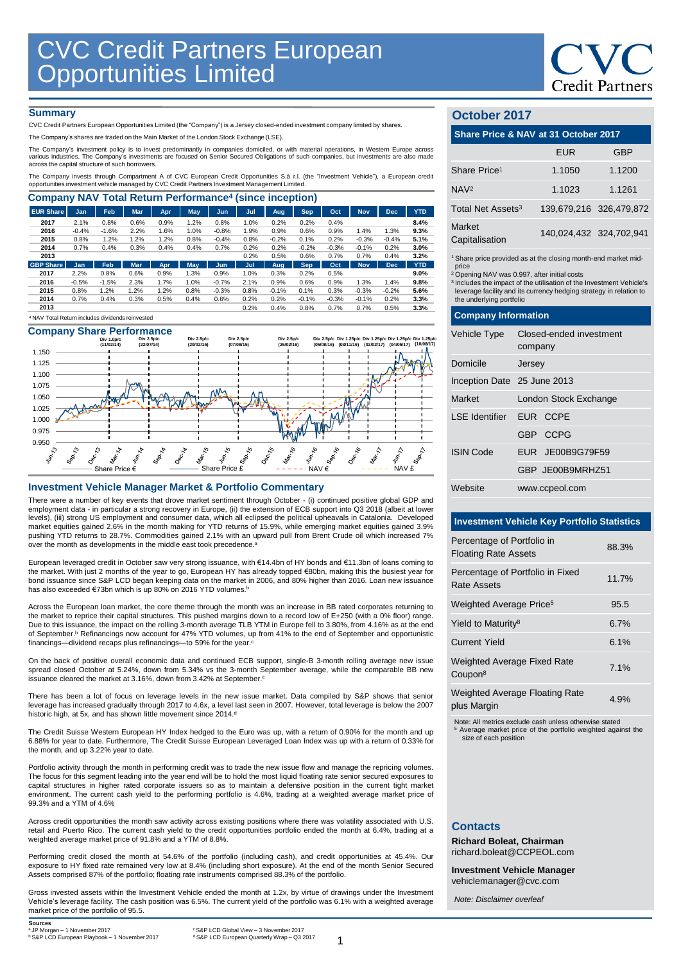

### **Summary**

CVC Credit Partners European Opportunities Limited (the "Company") is a Jersey closed-ended investment company limited by shares.

The Company's shares are traded on the Main Market of the London Stock Exchange (LSE).

The Company's investment policy is to invest predominantly in companies domiciled, or with material operations, in Western Europe across various industries. The Company's investments are focused on Senior Secured Obligations of such companies, but investments are also made across the capital structure of such borrowers.

The Company invests through Compartment A of CVC European Credit Opportunities S.à r.l. (the "Investment Vehicle"), a European credit<br>opportunities investment vehicle managed by CVC Credit Partners Investment Management Li

| <b>Company NAV Total Return Performance<sup>4</sup> (since inception)</b> |            |         |            |      |      |            |      |         |            |         |            |            |            |
|---------------------------------------------------------------------------|------------|---------|------------|------|------|------------|------|---------|------------|---------|------------|------------|------------|
| <b>EUR Share</b>                                                          | Jan        | Feb     | <b>Mar</b> | Apr  | May  | Jun        | Jul  | Aug.    | <b>Sep</b> | Oct     | <b>Nov</b> | <b>Dec</b> | <b>YTD</b> |
| 2017                                                                      | 2.1%       | 0.8%    | 0.6%       | 0.9% | 1.2% | 0.8%       | 1.0% | 0.2%    | 0.2%       | 0.4%    |            |            | 8.4%       |
| 2016                                                                      | $-0.4%$    | $-1.6%$ | 2.2%       | 1.6% | 1.0% | $-0.8%$    | 1.9% | 0.9%    | 0.6%       | 0.9%    | 1.4%       | 1.3%       | 9.3%       |
| 2015                                                                      | 0.8%       | 1.2%    | 1.2%       | 1.2% | 0.8% | $-0.4%$    | 0.8% | $-0.2%$ | 0.1%       | 0.2%    | $-0.3%$    | $-0.4%$    | 5.1%       |
| 2014                                                                      | 0.7%       | 0.4%    | 0.3%       | 0.4% | 0.4% | 0.7%       | 0.2% | 0.2%    | $-0.2%$    | $-0.3%$ | $-0.1%$    | 0.2%       | 3.0%       |
| 2013                                                                      |            |         |            |      |      |            | 0.2% | 0.5%    | 0.6%       | 0.7%    | 0.7%       | 0.4%       | 3.2%       |
| <b>GBP Share</b>                                                          | <b>Jan</b> | Feb     | <b>Mar</b> | Apr  | May  | <b>Jun</b> | Jul  | Aug     | <b>Sep</b> | Oct     | <b>Nov</b> | <b>Dec</b> | <b>YTD</b> |
| 2017                                                                      | 2.2%       | 0.8%    | 0.6%       | 0.9% | 1.3% | 0.9%       | 1.0% | 0.3%    | 0.2%       | 0.5%    |            |            | 9.0%       |
| 2016                                                                      | $-0.5%$    | $-1.5%$ | 2.3%       | 1.7% | 1.0% | $-0.7%$    | 2.1% | 0.9%    | 0.6%       | 0.9%    | 1.3%       | 1.4%       | 9.8%       |
| 2015                                                                      | 0.8%       | 1.2%    | 1.2%       | 1.2% | 0.8% | $-0.3%$    | 0.8% | $-0.1%$ | 0.1%       | 0.3%    | $-0.3%$    | $-0.2%$    | 5.6%       |
| 2014                                                                      | 0.7%       | 0.4%    | 0.3%       | 0.5% | 0.4% | 0.6%       | 0.2% | 0.2%    | $-0.1%$    | $-0.3%$ | $-0.1%$    | 0.2%       | 3.3%       |
| 2013                                                                      |            |         |            |      |      |            | 0.2% | 0.4%    | 0.8%       | 0.7%    | 0.7%       | 0.5%       | 3.3%       |
| <sup>4</sup> NAV Total Return includes dividends reinvested               |            |         |            |      |      |            |      |         |            |         |            |            |            |

# **Company Share Performance**



### **Investment Vehicle Manager Market & Portfolio Commentary**

There were a number of key events that drove market sentiment through October - (i) continued positive global GDP and employment data - in particular a strong recovery in Europe, (ii) the extension of ECB support into Q3 2018 (albeit at lower levels), (iii) strong US employment and consumer data, which all eclipsed the political upheavals in Catalonia. Developed market equities gained 2.6% in the month making for YTD returns of 15.9%, while emerging market equities gained 3.9% pushing YTD returns to 28.7%. Commodities gained 2.1% with an upward pull from Brent Crude oil which increased 7% over the month as developments in the middle east took precedence.<sup>a</sup>

European leveraged credit in October saw very strong issuance, with €14.4bn of HY bonds and €11.3bn of loans coming to the market. With just 2 months of the year to go, European HY has already topped €80bn, making this the busiest year for bond issuance since S&P LCD began keeping data on the market in 2006, and 80% higher than 2016. Loan new issuance has also exceeded €73bn which is up 80% on 2016 YTD volumes.<sup>b</sup>

Across the European loan market, the core theme through the month was an increase in BB rated corporates returning to the market to reprice their capital structures. This pushed margins down to a record low of E+250 (with a 0% floor) range. Due to this issuance, the impact on the rolling 3-month average TLB YTM in Europe fell to 3.80%, from 4.16% as at the end of September. <sup>b</sup> Refinancings now account for 47% YTD volumes, up from 41% to the end of September and opportunistic financings—dividend recaps plus refinancings—to 59% for the year.<sup>c</sup>

On the back of positive overall economic data and continued ECB support, single-B 3-month rolling average new issue spread closed October at 5.24%, down from 5.34% vs the 3-month September average, while the comparable BB new issuance cleared the market at 3.16%, down from 3.42% at September.<sup>6</sup>

There has been a lot of focus on leverage levels in the new issue market. Data compiled by S&P shows that senior leverage has increased gradually through 2017 to 4.6x, a level last seen in 2007. However, total leverage is below the 2007 historic high, at 5x, and has shown little movement since 2014.<sup>d</sup>

The Credit Suisse Western European HY Index hedged to the Euro was up, with a return of 0.90% for the month and up 6.88% for year to date. Furthermore, The Credit Suisse European Leveraged Loan Index was up with a return of 0.33% for the month, and up 3.22% year to date.

Portfolio activity through the month in performing credit was to trade the new issue flow and manage the repricing volumes. The focus for this segment leading into the year end will be to hold the most liquid floating rate senior secured exposures to capital structures in higher rated corporate issuers so as to maintain a defensive position in the current tight market environment. The current cash yield to the performing portfolio is 4.6%, trading at a weighted average market price of 99.3% and a YTM of 4.6%

Across credit opportunities the month saw activity across existing positions where there was volatility associated with U.S. retail and Puerto Rico. The current cash yield to the credit opportunities portfolio ended the month at 6.4%, trading at a weighted average market price of 91.8% and a YTM of 8.8%.

Performing credit closed the month at 54.6% of the portfolio (including cash), and credit opportunities at 45.4%. Our exposure to HY fixed rate remained very low at 8.4% (including short exposure). At the end of the month Senior Secured Assets comprised 87% of the portfolio; floating rate instruments comprised 88.3% of the portfolio.

Gross invested assets within the Investment Vehicle ended the month at 1.2x, by virtue of drawings under the Investment Vehicle's leverage facility. The cash position was 6.5%. The current yield of the portfolio was 6.1% with a weighted average market price of the portfolio of 95.5.

**Sources**<br><sup>8</sup> IP Morgan - 1 November 2017 b S&P LCD European Playbook – 1 November 2017

# **October 2017**

| Share Price & NAV at 31 October 2017 |            |                         |  |  |  |
|--------------------------------------|------------|-------------------------|--|--|--|
|                                      | <b>EUR</b> | <b>GBP</b>              |  |  |  |
| Share Price <sup>1</sup>             | 1.1050     | 1.1200                  |  |  |  |
| NAV <sup>2</sup>                     | 1.1023     | 1.1261                  |  |  |  |
| Total Net Assets <sup>3</sup>        |            | 139,679,216 326,479,872 |  |  |  |
| Market<br>Capitalisation             |            | 140,024,432 324,702,941 |  |  |  |
|                                      |            |                         |  |  |  |

1 Share price provided as at the closing month-end market mid-

price <sup>2</sup>Opening NAV was 0.997, after initial costs

<sup>3</sup>Includes the impact of the utilisation of the Investment Vehicle's leverage facility and its currency hedging strategy in relation to the underlying portfolio

# **Company Information** Vehicle Type Closed-ended investment company Domicile Jersey

| Inception Date 25 June 2013 |                       |
|-----------------------------|-----------------------|
| Market                      | London Stock Exchange |
| LSE Identifier EUR CCPE     |                       |
|                             | GBP CCPG              |
| <b>ISIN Code</b>            | EUR JE00B9G79F59      |
|                             | GBP JE00B9MRHZ51      |
| Website                     | www.ccpeol.com        |

# **Investment Vehicle Key Portfolio Statistics**

| Percentage of Portfolio in<br><b>Floating Rate Assets</b> | 88.3% |
|-----------------------------------------------------------|-------|
| Percentage of Portfolio in Fixed<br>Rate Assets           | 11.7% |
| Weighted Average Price <sup>5</sup>                       | 95.5  |
| Yield to Maturity <sup>8</sup>                            | 6.7%  |
| <b>Current Yield</b>                                      | 6.1%  |
| <b>Weighted Average Fixed Rate</b><br>Coupon <sup>8</sup> | 7.1%  |
| <b>Weighted Average Floating Rate</b><br>plus Margin      | 4.9%  |

Note: All metrics exclude cash unless otherwise stated <sup>5</sup> Average market price of the portfolio weighted against the size of each position

### **Contacts**

**Richard Boleat, Chairman**  richard.boleat@CCPEOL.com

**Investment Vehicle Manager**

vehiclemanager@cvc.com

*Note: Disclaimer overleaf*